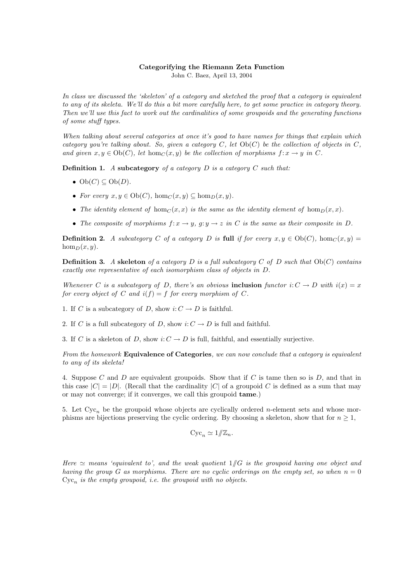## Categorifying the Riemann Zeta Function

John C. Baez, April 13, 2004

In class we discussed the 'skeleton' of a category and sketched the proof that a category is equivalent to any of its skeleta. We'll do this a bit more carefully here, to get some practice in category theory. Then we'll use this fact to work out the cardinalities of some groupoids and the generating functions of some stuff types.

When talking about several categories at once it's good to have names for things that explain which category you're talking about. So, given a category  $C$ , let  $Ob(C)$  be the collection of objects in  $C$ , and given  $x, y \in Ob(C)$ , let hom $_C(x, y)$  be the collection of morphisms  $f: x \to y$  in C.

**Definition 1.** A subcategory of a category  $D$  is a category  $C$  such that:

- $Ob(C) \subseteq Ob(D)$ .
- For every  $x, y \in Ob(C)$ ,  $hom_C(x, y) \subseteq hom_D(x, y)$ .
- The identity element of hom<sub>C</sub> $(x, x)$  is the same as the identity element of hom<sub>D</sub> $(x, x)$ .
- The composite of morphisms  $f: x \to y$ ,  $q: y \to z$  in C is the same as their composite in D.

**Definition 2.** A subcategory C of a category D is full if for every  $x, y \in Ob(C)$ ,  $hom_C(x, y) =$  $\hom_D(x, y)$ .

**Definition 3.** A skeleton of a category D is a full subcategory C of D such that  $Ob(C)$  contains exactly one representative of each isomorphism class of objects in D.

Whenever C is a subcategory of D, there's an obvious inclusion functor  $i: C \to D$  with  $i(x) = x$ for every object of C and  $i(f) = f$  for every morphism of C.

1. If C is a subcategory of D, show  $i: C \to D$  is faithful.

2. If C is a full subcategory of D, show  $i: C \rightarrow D$  is full and faithful.

3. If C is a skeleton of D, show  $i: C \to D$  is full, faithful, and essentially surjective.

From the homework **Equivalence of Categories**, we can now conclude that a category is equivalent to any of its skeleta!

4. Suppose C and D are equivalent groupoids. Show that if C is tame then so is  $D$ , and that in this case  $|C| = |D|$ . (Recall that the cardinality  $|C|$  of a groupoid C is defined as a sum that may or may not converge; if it converges, we call this groupoid tame.)

5. Let  $Cyc_n$  be the groupoid whose objects are cyclically ordered *n*-element sets and whose morphisms are bijections preserving the cyclic ordering. By choosing a skeleton, show that for  $n \geq 1$ ,

$$
Cyc_n \simeq 1/\!\!/ \mathbb{Z}_n.
$$

Here  $\simeq$  means 'equivalent to', and the weak quotient  $1/\!\!/ G$  is the groupoid having one object and having the group G as morphisms. There are no cyclic orderings on the empty set, so when  $n = 0$  $Cyc_n$  is the empty groupoid, i.e. the groupoid with no objects.